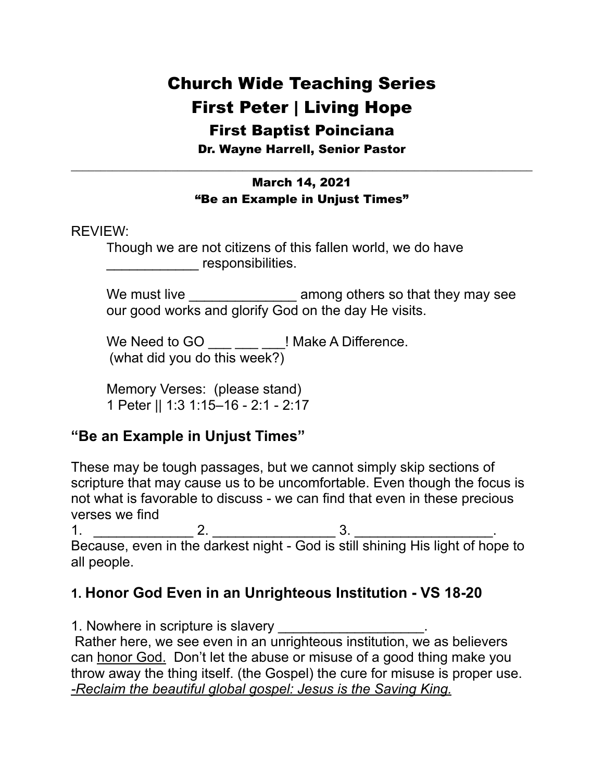## Church Wide Teaching Series First Peter | Living Hope First Baptist Poinciana

Dr. Wayne Harrell, Senior Pastor \_\_\_\_\_\_\_\_\_\_\_\_\_\_\_\_\_\_\_\_\_\_\_\_\_\_\_\_\_\_\_\_\_\_\_\_\_\_\_\_\_\_\_\_\_\_\_\_\_\_\_\_\_\_\_\_\_\_\_\_\_\_\_\_\_\_\_\_\_\_\_\_\_\_\_\_\_\_

#### March 14, 2021 "Be an Example in Unjust Times"

#### REVIEW:

Though we are not citizens of this fallen world, we do have esponsibilities.

We must live \_\_\_\_\_\_\_\_\_\_\_\_\_\_\_\_\_\_ among others so that they may see our good works and glorify God on the day He visits.

We Need to GO \_\_\_ \_\_\_ \_\_ ! Make A Difference. (what did you do this week?)

 Memory Verses: (please stand) 1 Peter || 1:3 1:15–16 - 2:1 - 2:17

#### **"Be an Example in Unjust Times"**

These may be tough passages, but we cannot simply skip sections of scripture that may cause us to be uncomfortable. Even though the focus is not what is favorable to discuss - we can find that even in these precious verses we find

1.  $\frac{1}{2}$  2.  $\frac{1}{2}$  3.  $\frac{1}{2}$ 

Because, even in the darkest night - God is still shining His light of hope to all people.

#### **1. Honor God Even in an Unrighteous Institution - VS 18-20**

1. Nowhere in scripture is slavery

 Rather here, we see even in an unrighteous institution, we as believers can honor God. Don't let the abuse or misuse of a good thing make you throw away the thing itself. (the Gospel) the cure for misuse is proper use. *-Reclaim the beautiful global gospel: Jesus is the Saving King.*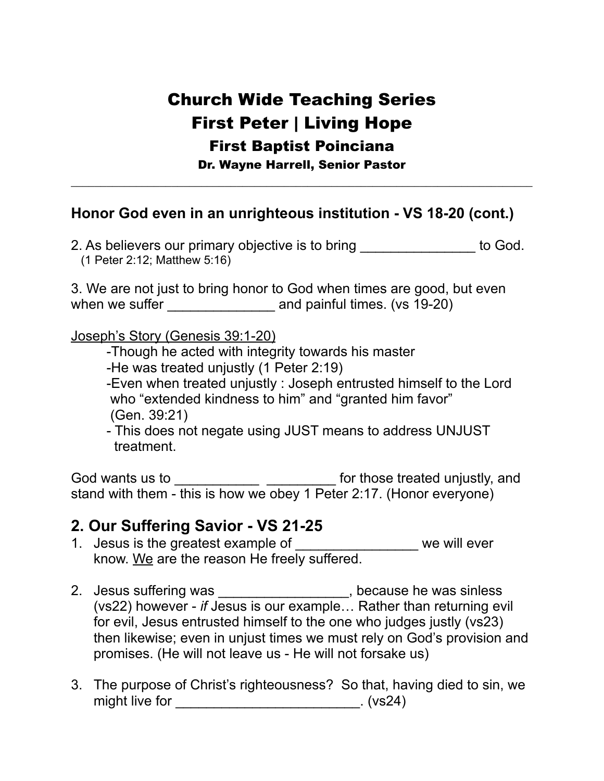## Church Wide Teaching Series First Peter | Living Hope First Baptist Poinciana Dr. Wayne Harrell, Senior Pastor

\_\_\_\_\_\_\_\_\_\_\_\_\_\_\_\_\_\_\_\_\_\_\_\_\_\_\_\_\_\_\_\_\_\_\_\_\_\_\_\_\_\_\_\_\_\_\_\_\_\_\_\_\_\_\_\_\_\_\_\_\_\_\_\_\_\_\_\_\_\_\_\_\_\_\_\_\_\_

#### **Honor God even in an unrighteous institution - VS 18-20 (cont.)**

2. As believers our primary objective is to bring the set of God. (1 Peter 2:12; Matthew 5:16)

3. We are not just to bring honor to God when times are good, but even when we suffer \_\_\_\_\_\_\_\_\_\_\_\_\_\_ and painful times. (vs 19-20)

Joseph's Story (Genesis 39:1-20)

- -Though he acted with integrity towards his master
- -He was treated unjustly (1 Peter 2:19)

 -Even when treated unjustly : Joseph entrusted himself to the Lord who "extended kindness to him" and "granted him favor" (Gen. 39:21)

 - This does not negate using JUST means to address UNJUST treatment.

God wants us to \_\_\_\_\_\_\_\_\_\_\_\_\_\_\_\_\_\_\_\_\_\_\_\_\_\_\_\_\_\_ for those treated unjustly, and stand with them - this is how we obey 1 Peter 2:17. (Honor everyone)

#### **2. Our Suffering Savior - VS 21-25**

- 1. Jesus is the greatest example of \_\_\_\_\_\_\_\_\_\_\_\_\_\_\_\_ we will ever know. We are the reason He freely suffered.
- 2. Jesus suffering was \_\_\_\_\_\_\_\_\_\_\_\_\_\_\_\_\_\_, because he was sinless (vs22) however - *if* Jesus is our example… Rather than returning evil for evil, Jesus entrusted himself to the one who judges justly (vs23) then likewise; even in unjust times we must rely on God's provision and promises. (He will not leave us - He will not forsake us)
- 3. The purpose of Christ's righteousness? So that, having died to sin, we might live for \_\_\_\_\_\_\_\_\_\_\_\_\_\_\_\_\_\_\_\_\_\_\_\_\_\_\_\_\_\_\_\_. (vs24)